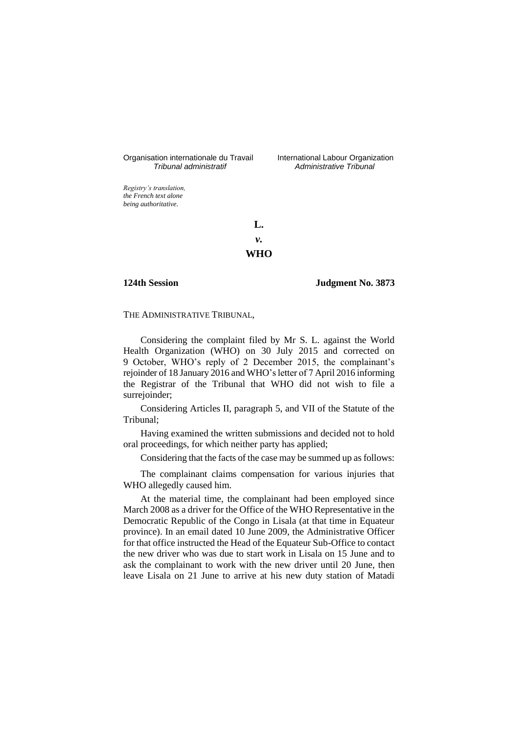Organisation internationale du Travail International Labour Organization<br>*Tribunal administratif Administrative Tribunal* 

*Tribunal administratif Administrative Tribunal*

*Registry's translation, the French text alone being authoritative.*

> **L.** *v.* **WHO**

**124th Session Judgment No. 3873**

THE ADMINISTRATIVE TRIBUNAL,

Considering the complaint filed by Mr S. L. against the World Health Organization (WHO) on 30 July 2015 and corrected on 9 October, WHO's reply of 2 December 2015, the complainant's rejoinder of 18 January 2016 and WHO's letter of 7 April 2016 informing the Registrar of the Tribunal that WHO did not wish to file a surrejoinder;

Considering Articles II, paragraph 5, and VII of the Statute of the Tribunal;

Having examined the written submissions and decided not to hold oral proceedings, for which neither party has applied;

Considering that the facts of the case may be summed up as follows:

The complainant claims compensation for various injuries that WHO allegedly caused him.

At the material time, the complainant had been employed since March 2008 as a driver for the Office of the WHO Representative in the Democratic Republic of the Congo in Lisala (at that time in Equateur province). In an email dated 10 June 2009, the Administrative Officer for that office instructed the Head of the Equateur Sub-Office to contact the new driver who was due to start work in Lisala on 15 June and to ask the complainant to work with the new driver until 20 June, then leave Lisala on 21 June to arrive at his new duty station of Matadi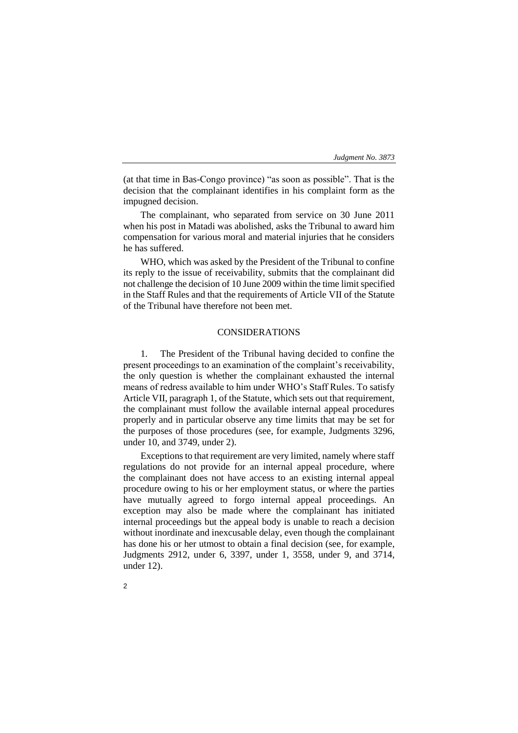(at that time in Bas-Congo province) "as soon as possible". That is the decision that the complainant identifies in his complaint form as the impugned decision.

The complainant, who separated from service on 30 June 2011 when his post in Matadi was abolished, asks the Tribunal to award him compensation for various moral and material injuries that he considers he has suffered.

WHO, which was asked by the President of the Tribunal to confine its reply to the issue of receivability, submits that the complainant did not challenge the decision of 10 June 2009 within the time limit specified in the Staff Rules and that the requirements of Article VII of the Statute of the Tribunal have therefore not been met.

## CONSIDERATIONS

1. The President of the Tribunal having decided to confine the present proceedings to an examination of the complaint's receivability, the only question is whether the complainant exhausted the internal means of redress available to him under WHO's Staff Rules. To satisfy Article VII, paragraph 1, of the Statute, which sets out that requirement, the complainant must follow the available internal appeal procedures properly and in particular observe any time limits that may be set for the purposes of those procedures (see, for example, Judgments 3296, under 10, and 3749, under 2).

Exceptions to that requirement are very limited, namely where staff regulations do not provide for an internal appeal procedure, where the complainant does not have access to an existing internal appeal procedure owing to his or her employment status, or where the parties have mutually agreed to forgo internal appeal proceedings. An exception may also be made where the complainant has initiated internal proceedings but the appeal body is unable to reach a decision without inordinate and inexcusable delay, even though the complainant has done his or her utmost to obtain a final decision (see, for example, Judgments 2912, under 6, 3397, under 1, 3558, under 9, and 3714, under 12).

 $\overline{2}$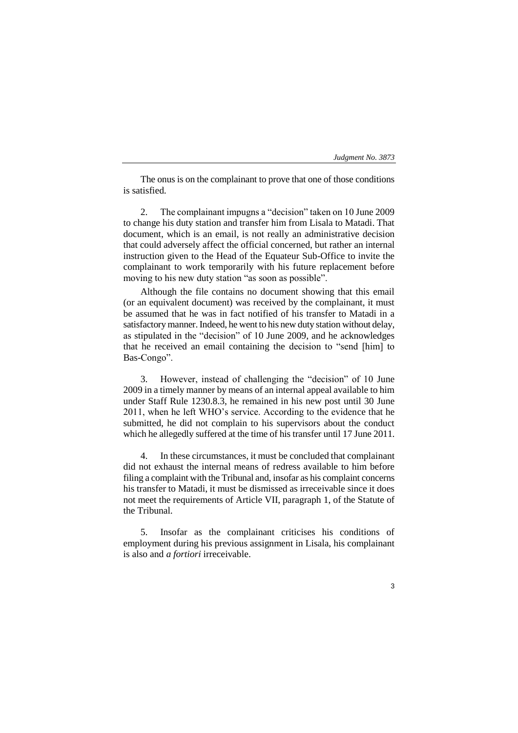| Judgment No. 3873 |  |  |
|-------------------|--|--|
|-------------------|--|--|

The onus is on the complainant to prove that one of those conditions is satisfied.

2. The complainant impugns a "decision" taken on 10 June 2009 to change his duty station and transfer him from Lisala to Matadi. That document, which is an email, is not really an administrative decision that could adversely affect the official concerned, but rather an internal instruction given to the Head of the Equateur Sub-Office to invite the complainant to work temporarily with his future replacement before moving to his new duty station "as soon as possible".

Although the file contains no document showing that this email (or an equivalent document) was received by the complainant, it must be assumed that he was in fact notified of his transfer to Matadi in a satisfactory manner. Indeed, he went to his new duty station without delay, as stipulated in the "decision" of 10 June 2009, and he acknowledges that he received an email containing the decision to "send [him] to Bas-Congo".

3. However, instead of challenging the "decision" of 10 June 2009 in a timely manner by means of an internal appeal available to him under Staff Rule 1230.8.3, he remained in his new post until 30 June 2011, when he left WHO's service. According to the evidence that he submitted, he did not complain to his supervisors about the conduct which he allegedly suffered at the time of his transfer until 17 June 2011.

4. In these circumstances, it must be concluded that complainant did not exhaust the internal means of redress available to him before filing a complaint with the Tribunal and, insofar as his complaint concerns his transfer to Matadi, it must be dismissed as irreceivable since it does not meet the requirements of Article VII, paragraph 1, of the Statute of the Tribunal.

5. Insofar as the complainant criticises his conditions of employment during his previous assignment in Lisala, his complainant is also and *a fortiori* irreceivable.